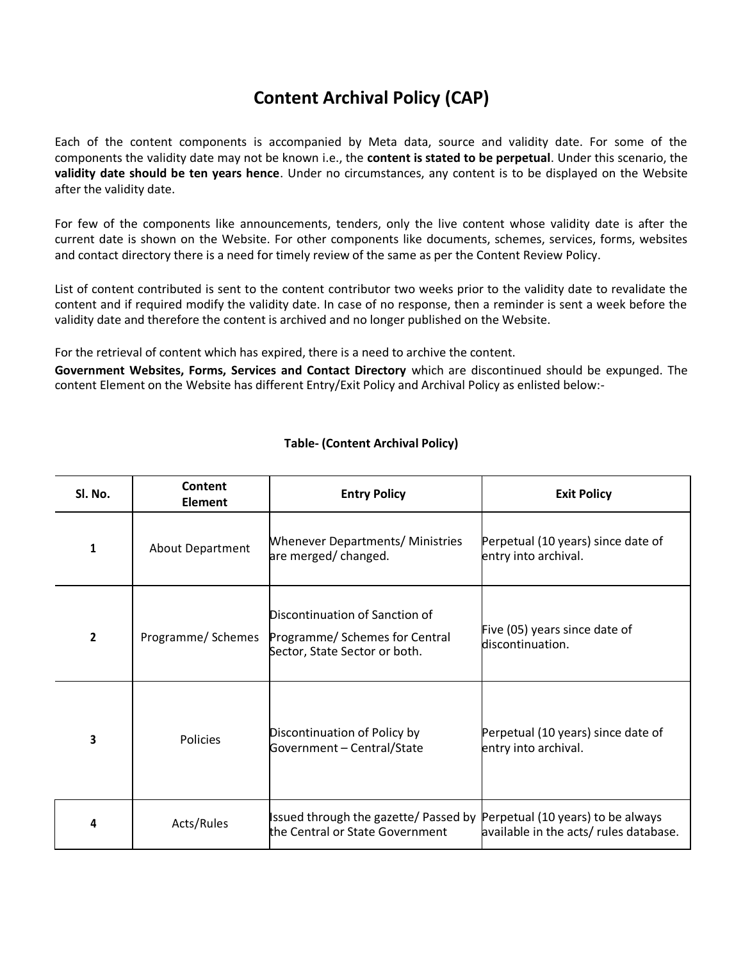## **Content Archival Policy (CAP)**

Each of the content components is accompanied by Meta data, source and validity date. For some of the components the validity date may not be known i.e., the **content is stated to be perpetual**. Under this scenario, the **validity date should be ten years hence**. Under no circumstances, any content is to be displayed on the Website after the validity date.

For few of the components like announcements, tenders, only the live content whose validity date is after the current date is shown on the Website. For other components like documents, schemes, services, forms, websites and contact directory there is a need for timely review of the same as per the Content Review Policy.

List of content contributed is sent to the content contributor two weeks prior to the validity date to revalidate the content and if required modify the validity date. In case of no response, then a reminder is sent a week before the validity date and therefore the content is archived and no longer published on the Website.

For the retrieval of content which has expired, there is a need to archive the content.

**Government Websites, Forms, Services and Contact Directory** which are discontinued should be expunged. The content Element on the Website has different Entry/Exit Policy and Archival Policy as enlisted below:-

| Sl. No.        | Content<br>Element | <b>Entry Policy</b>                                                                               | <b>Exit Policy</b>                                                          |
|----------------|--------------------|---------------------------------------------------------------------------------------------------|-----------------------------------------------------------------------------|
| 1              | About Department   | <b>Whenever Departments/ Ministries</b><br>are merged/changed.                                    | Perpetual (10 years) since date of<br>entry into archival.                  |
| $\overline{2}$ | Programme/ Schemes | Discontinuation of Sanction of<br>Programme/ Schemes for Central<br>Sector, State Sector or both. | Five (05) years since date of<br>discontinuation.                           |
| 3              | <b>Policies</b>    | Discontinuation of Policy by<br>Government - Central/State                                        | Perpetual (10 years) since date of<br>entry into archival.                  |
| 4              | Acts/Rules         | Issued through the gazette/ Passed by<br>the Central or State Government                          | Perpetual (10 years) to be always<br>available in the acts/ rules database. |

## **Table- (Content Archival Policy)**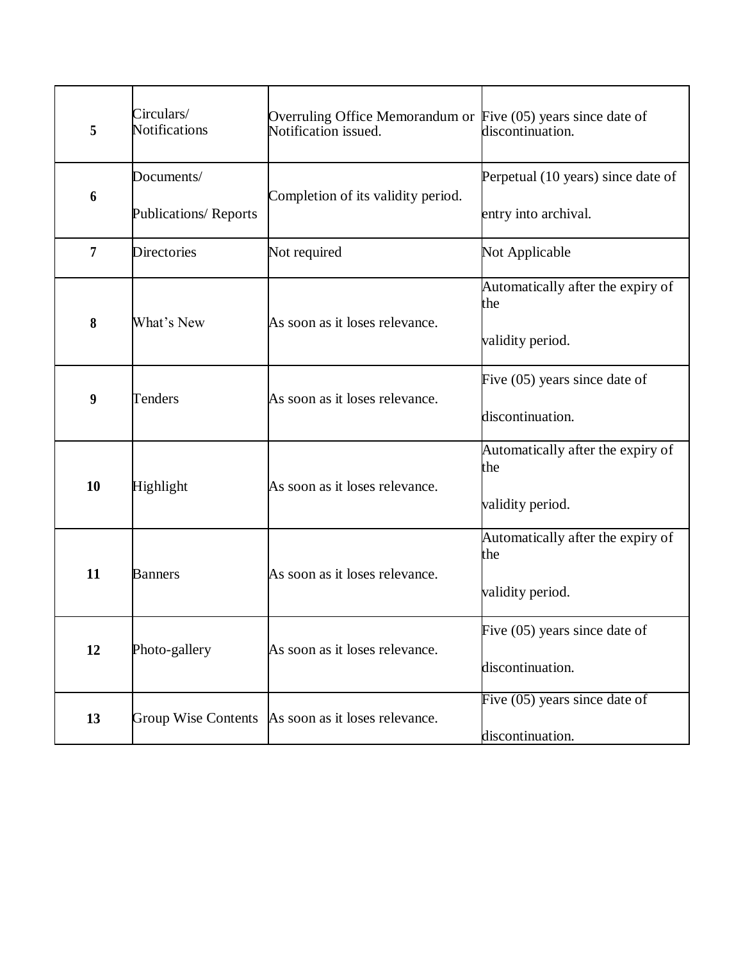| 5                | Circulars/<br><b>Notifications</b>         | Overruling Office Memorandum or Five (05) years since date of<br>Notification issued. | discontinuation.                                             |
|------------------|--------------------------------------------|---------------------------------------------------------------------------------------|--------------------------------------------------------------|
| 6                | Documents/<br><b>Publications/ Reports</b> | Completion of its validity period.                                                    | Perpetual (10 years) since date of<br>entry into archival.   |
| 7                | <b>Directories</b>                         | Not required                                                                          | Not Applicable                                               |
| 8                | What's New                                 | As soon as it loses relevance.                                                        | Automatically after the expiry of<br>the<br>validity period. |
| $\boldsymbol{9}$ | Tenders                                    | As soon as it loses relevance.                                                        | Five $(05)$ years since date of<br>discontinuation.          |
| 10               | Highlight                                  | As soon as it loses relevance.                                                        | Automatically after the expiry of<br>the<br>validity period. |
| 11               | <b>Banners</b>                             | As soon as it loses relevance.                                                        | Automatically after the expiry of<br>the<br>validity period. |
| 12               | Photo-gallery                              | As soon as it loses relevance.                                                        | Five $(05)$ years since date of<br>discontinuation.          |
| 13               | <b>Group Wise Contents</b>                 | As soon as it loses relevance.                                                        | Five $(05)$ years since date of<br>discontinuation.          |